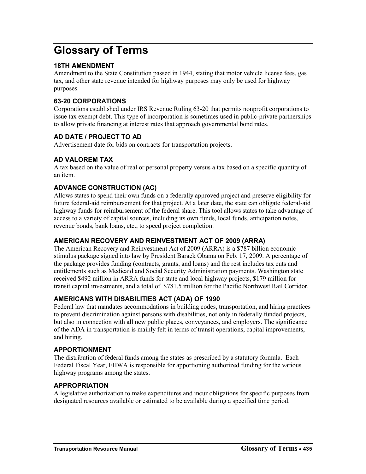# **Glossary of Terms**

# **18TH AMENDMENT**

Amendment to the State Constitution passed in 1944, stating that motor vehicle license fees, gas tax, and other state revenue intended for highway purposes may only be used for highway purposes.

## **63-20 CORPORATIONS**

Corporations established under IRS Revenue Ruling 63-20 that permits nonprofit corporations to issue tax exempt debt. This type of incorporation is sometimes used in public-private partnerships to allow private financing at interest rates that approach governmental bond rates.

# **AD DATE / PROJECT TO AD**

Advertisement date for bids on contracts for transportation projects.

## **AD VALOREM TAX**

A tax based on the value of real or personal property versus a tax based on a specific quantity of an item.

## **ADVANCE CONSTRUCTION (AC)**

Allows states to spend their own funds on a federally approved project and preserve eligibility for future federal-aid reimbursement for that project. At a later date, the state can obligate federal-aid highway funds for reimbursement of the federal share. This tool allows states to take advantage of access to a variety of capital sources, including its own funds, local funds, anticipation notes, revenue bonds, bank loans, etc., to speed project completion.

#### **AMERICAN RECOVERY AND REINVESTMENT ACT OF 2009 (ARRA)**

The American Recovery and Reinvestment Act of 2009 (ARRA) is a \$787 billion economic stimulus package signed into law by President Barack Obama on Feb. 17, 2009. A percentage of the package provides funding (contracts, grants, and loans) and the rest includes tax cuts and entitlements such as Medicaid and Social Security Administration payments. Washington state received \$492 million in ARRA funds for state and local highway projects, \$179 million for transit capital investments, and a total of \$781.5 million for the Pacific Northwest Rail Corridor.

# **AMERICANS WITH DISABILITIES ACT (ADA) OF 1990**

Federal law that mandates accommodations in building codes, transportation, and hiring practices to prevent discrimination against persons with disabilities, not only in federally funded projects, but also in connection with all new public places, conveyances, and employers. The significance of the ADA in transportation is mainly felt in terms of transit operations, capital improvements, and hiring.

#### **APPORTIONMENT**

The distribution of federal funds among the states as prescribed by a statutory formula. Each Federal Fiscal Year, FHWA is responsible for apportioning authorized funding for the various highway programs among the states.

#### **APPROPRIATION**

A legislative authorization to make expenditures and incur obligations for specific purposes from designated resources available or estimated to be available during a specified time period.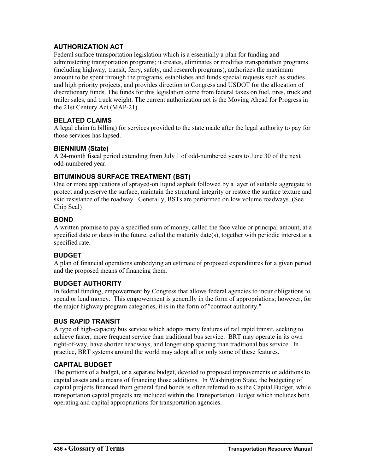# **AUTHORIZATION ACT**

Federal surface transportation legislation which is a essentially a plan for funding and administering transportation programs; it creates, eliminates or modifies transportation programs (including highway, transit, ferry, safety, and research programs), authorizes the maximum amount to be spent through the programs, establishes and funds special requests such as studies and high priority projects, and provides direction to Congress and USDOT for the allocation of discretionary funds. The funds for this legislation come from federal taxes on fuel, tires, truck and trailer sales, and truck weight. The current authorization act is the Moving Ahead for Progress in the 21st Century Act (MAP-21).

# **BELATED CLAIMS**

A legal claim (a billing) for services provided to the state made after the legal authority to pay for those services has lapsed.

# **BIENNIUM (State)**

A 24-month fiscal period extending from July 1 of odd-numbered years to June 30 of the next odd-numbered year.

# **BITUMINOUS SURFACE TREATMENT (BST)**

One or more applications of sprayed-on liquid asphalt followed by a layer of suitable aggregate to protect and preserve the surface, maintain the structural integrity or restore the surface texture and skid resistance of the roadway. Generally, BSTs are performed on low volume roadways. (See Chip Seal)

#### **BOND**

A written promise to pay a specified sum of money, called the face value or principal amount, at a specified date or dates in the future, called the maturity date(s), together with periodic interest at a specified rate.

# **BUDGET**

A plan of financial operations embodying an estimate of proposed expenditures for a given period and the proposed means of financing them.

#### **BUDGET AUTHORITY**

In federal funding, empowerment by Congress that allows federal agencies to incur obligations to spend or lend money. This empowerment is generally in the form of appropriations; however, for the major highway program categories, it is in the form of "contract authority."

#### **BUS RAPID TRANSIT**

A type of high-capacity bus service which adopts many features of rail rapid transit, seeking to achieve faster, more frequent service than traditional bus service. BRT may operate in its own right-of-way, have shorter headways, and longer stop spacing than traditional bus service. In practice, BRT systems around the world may adopt all or only some of these features.

# **CAPITAL BUDGET**

The portions of a budget, or a separate budget, devoted to proposed improvements or additions to capital assets and a means of financing those additions. In Washington State, the budgeting of capital projects financed from general fund bonds is often referred to as the Capital Budget, while transportation capital projects are included within the Transportation Budget which includes both operating and capital appropriations for transportation agencies.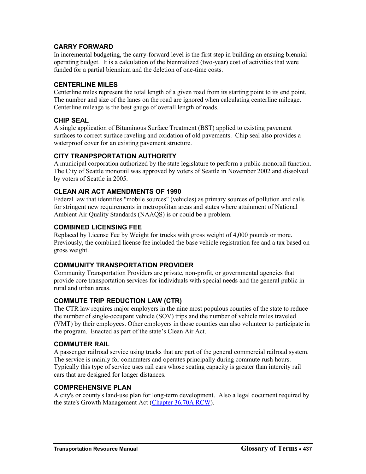## **CARRY FORWARD**

In incremental budgeting, the carry-forward level is the first step in building an ensuing biennial operating budget. It is a calculation of the biennialized (two-year) cost of activities that were funded for a partial biennium and the deletion of one-time costs.

#### **CENTERLINE MILES**

Centerline miles represent the total length of a given road from its starting point to its end point. The number and size of the lanes on the road are ignored when calculating centerline mileage. Centerline mileage is the best gauge of overall length of roads.

#### **CHIP SEAL**

A single application of Bituminous Surface Treatment (BST) applied to existing pavement surfaces to correct surface raveling and oxidation of old pavements. Chip seal also provides a waterproof cover for an existing pavement structure.

## **CITY TRANPSPORTATION AUTHORITY**

A municipal corporation authorized by the state legislature to perform a public monorail function. The City of Seattle monorail was approved by voters of Seattle in November 2002 and dissolved by voters of Seattle in 2005.

## **CLEAN AIR ACT AMENDMENTS OF 1990**

Federal law that identifies "mobile sources" (vehicles) as primary sources of pollution and calls for stringent new requirements in metropolitan areas and states where attainment of National Ambient Air Quality Standards (NAAQS) is or could be a problem.

#### **COMBINED LICENSING FEE**

Replaced by License Fee by Weight for trucks with gross weight of 4,000 pounds or more. Previously, the combined license fee included the base vehicle registration fee and a tax based on gross weight.

# **COMMUNITY TRANSPORTATION PROVIDER**

Community Transportation Providers are private, non-profit, or governmental agencies that provide core transportation services for individuals with special needs and the general public in rural and urban areas.

# **COMMUTE TRIP REDUCTION LAW (CTR)**

The CTR law requires major employers in the nine most populous counties of the state to reduce the number of single-occupant vehicle (SOV) trips and the number of vehicle miles traveled (VMT) by their employees. Other employers in those counties can also volunteer to participate in the program. Enacted as part of the state's Clean Air Act.

#### **COMMUTER RAIL**

A passenger railroad service using tracks that are part of the general commercial railroad system. The service is mainly for commuters and operates principally during commute rush hours. Typically this type of service uses rail cars whose seating capacity is greater than intercity rail cars that are designed for longer distances.

#### **COMPREHENSIVE PLAN**

A city's or county's land-use plan for long-term development. Also a legal document required by the state's Growth Management Act [\(Chapter 36.70A RCW\)](http://apps.leg.wa.gov/rcw/default.aspx?cite=36.70A).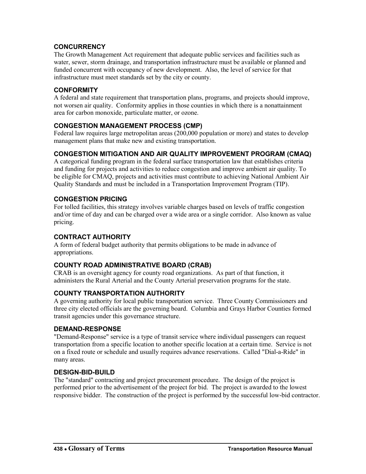# **CONCURRENCY**

The Growth Management Act requirement that adequate public services and facilities such as water, sewer, storm drainage, and transportation infrastructure must be available or planned and funded concurrent with occupancy of new development. Also, the level of service for that infrastructure must meet standards set by the city or county.

# **CONFORMITY**

A federal and state requirement that transportation plans, programs, and projects should improve, not worsen air quality. Conformity applies in those counties in which there is a nonattainment area for carbon monoxide, particulate matter, or ozone.

# **CONGESTION MANAGEMENT PROCESS (CMP)**

Federal law requires large metropolitan areas (200,000 population or more) and states to develop management plans that make new and existing transportation.

# **CONGESTION MITIGATION AND AIR QUALITY IMPROVEMENT PROGRAM (CMAQ)**

A categorical funding program in the federal surface transportation law that establishes criteria and funding for projects and activities to reduce congestion and improve ambient air quality. To be eligible for CMAQ, projects and activities must contribute to achieving National Ambient Air Quality Standards and must be included in a Transportation Improvement Program (TIP).

# **CONGESTION PRICING**

For tolled facilities, this strategy involves variable charges based on levels of traffic congestion and/or time of day and can be charged over a wide area or a single corridor. Also known as value pricing.

# **CONTRACT AUTHORITY**

A form of federal budget authority that permits obligations to be made in advance of appropriations.

# **COUNTY ROAD ADMINISTRATIVE BOARD (CRAB)**

CRAB is an oversight agency for county road organizations. As part of that function, it administers the Rural Arterial and the County Arterial preservation programs for the state.

# **COUNTY TRANSPORTATION AUTHORITY**

A governing authority for local public transportation service. Three County Commissioners and three city elected officials are the governing board. Columbia and Grays Harbor Counties formed transit agencies under this governance structure.

# **DEMAND-RESPONSE**

"Demand-Response" service is a type of transit service where individual passengers can request transportation from a specific location to another specific location at a certain time. Service is not on a fixed route or schedule and usually requires advance reservations. Called "Dial-a-Ride" in many areas.

# **DESIGN-BID-BUILD**

The "standard" contracting and project procurement procedure. The design of the project is performed prior to the advertisement of the project for bid. The project is awarded to the lowest responsive bidder. The construction of the project is performed by the successful low-bid contractor.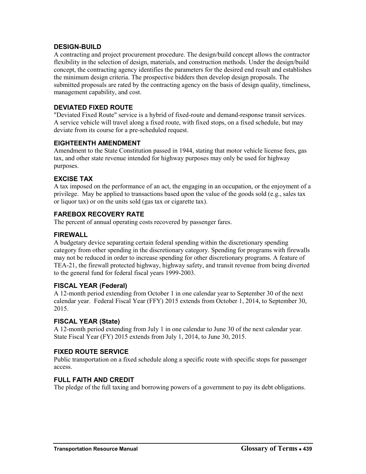#### **DESIGN-BUILD**

A contracting and project procurement procedure. The design/build concept allows the contractor flexibility in the selection of design, materials, and construction methods. Under the design/build concept, the contracting agency identifies the parameters for the desired end result and establishes the minimum design criteria. The prospective bidders then develop design proposals. The submitted proposals are rated by the contracting agency on the basis of design quality, timeliness, management capability, and cost.

# **DEVIATED FIXED ROUTE**

"Deviated Fixed Route" service is a hybrid of fixed-route and demand-response transit services. A service vehicle will travel along a fixed route, with fixed stops, on a fixed schedule, but may deviate from its course for a pre-scheduled request.

# **EIGHTEENTH AMENDMENT**

Amendment to the State Constitution passed in 1944, stating that motor vehicle license fees, gas tax, and other state revenue intended for highway purposes may only be used for highway purposes.

# **EXCISE TAX**

A tax imposed on the performance of an act, the engaging in an occupation, or the enjoyment of a privilege. May be applied to transactions based upon the value of the goods sold (e.g., sales tax or liquor tax) or on the units sold (gas tax or cigarette tax).

# **FAREBOX RECOVERY RATE**

The percent of annual operating costs recovered by passenger fares.

## **FIREWALL**

A budgetary device separating certain federal spending within the discretionary spending category from other spending in the discretionary category. Spending for programs with firewalls may not be reduced in order to increase spending for other discretionary programs. A feature of TEA-21, the firewall protected highway, highway safety, and transit revenue from being diverted to the general fund for federal fiscal years 1999-2003.

#### **FISCAL YEAR (Federal)**

A 12-month period extending from October 1 in one calendar year to September 30 of the next calendar year. Federal Fiscal Year (FFY) 2015 extends from October 1, 2014, to September 30, 2015.

#### **FISCAL YEAR (State)**

A 12-month period extending from July 1 in one calendar to June 30 of the next calendar year. State Fiscal Year (FY) 2015 extends from July 1, 2014, to June 30, 2015.

# **FIXED ROUTE SERVICE**

Public transportation on a fixed schedule along a specific route with specific stops for passenger access.

#### **FULL FAITH AND CREDIT**

The pledge of the full taxing and borrowing powers of a government to pay its debt obligations.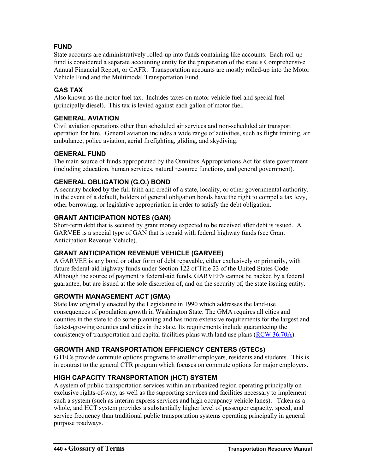# **FUND**

State accounts are administratively rolled-up into funds containing like accounts. Each roll-up fund is considered a separate accounting entity for the preparation of the state's Comprehensive Annual Financial Report, or CAFR. Transportation accounts are mostly rolled-up into the Motor Vehicle Fund and the Multimodal Transportation Fund.

## **GAS TAX**

Also known as the motor fuel tax. Includes taxes on motor vehicle fuel and special fuel (principally diesel). This tax is levied against each gallon of motor fuel.

# **GENERAL AVIATION**

Civil aviation operations other than scheduled air services and non-scheduled air transport operation for hire. General aviation includes a wide range of activities, such as flight training, air ambulance, police aviation, aerial firefighting, gliding, and skydiving.

## **GENERAL FUND**

The main source of funds appropriated by the Omnibus Appropriations Act for state government (including education, human services, natural resource functions, and general government).

## **GENERAL OBLIGATION (G.O.) BOND**

A security backed by the full faith and credit of a state, locality, or other governmental authority. In the event of a default, holders of general obligation bonds have the right to compel a tax levy, other borrowing, or legislative appropriation in order to satisfy the debt obligation.

## **GRANT ANTICIPATION NOTES (GAN)**

Short-term debt that is secured by grant money expected to be received after debt is issued. A GARVEE is a special type of GAN that is repaid with federal highway funds (see Grant Anticipation Revenue Vehicle).

#### **GRANT ANTICIPATION REVENUE VEHICLE (GARVEE)**

A GARVEE is any bond or other form of debt repayable, either exclusively or primarily, with future federal-aid highway funds under Section 122 of Title 23 of the United States Code. Although the source of payment is federal-aid funds, GARVEE's cannot be backed by a federal guarantee, but are issued at the sole discretion of, and on the security of, the state issuing entity.

#### **GROWTH MANAGEMENT ACT (GMA)**

State law originally enacted by the Legislature in 1990 which addresses the land-use consequences of population growth in Washington State. The GMA requires all cities and counties in the state to do some planning and has more extensive requirements for the largest and fastest-growing counties and cities in the state. Its requirements include guaranteeing the consistency of transportation and capital facilities plans with land use plans [\(RCW 36.70A\)](http://apps.leg.wa.gov/rcw/default.aspx?cite=36.70A).

# **GROWTH AND TRANSPORTATION EFFICIENCY CENTERS (GTECs)**

GTECs provide commute options programs to smaller employers, residents and students. This is in contrast to the general CTR program which focuses on commute options for major employers.

# **HIGH CAPACITY TRANSPORTATION (HCT) SYSTEM**

A system of public transportation services within an urbanized region operating principally on exclusive rights-of-way, as well as the supporting services and facilities necessary to implement such a system (such as interim express services and high occupancy vehicle lanes). Taken as a whole, and HCT system provides a substantially higher level of passenger capacity, speed, and service frequency than traditional public transportation systems operating principally in general purpose roadways.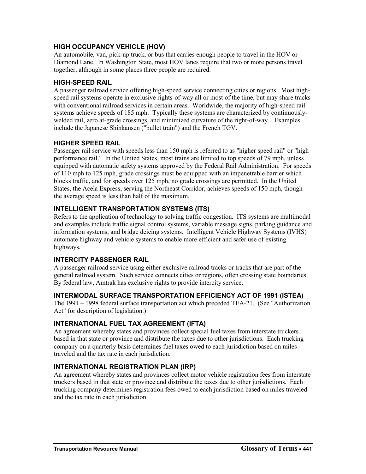## **HIGH OCCUPANCY VEHICLE (HOV)**

An automobile, van, pick-up truck, or bus that carries enough people to travel in the HOV or Diamond Lane. In Washington State, most HOV lanes require that two or more persons travel together, although in some places three people are required.

## **HIGH-SPEED RAIL**

A passenger railroad service offering high-speed service connecting cities or regions. Most highspeed rail systems operate in exclusive rights-of-way all or most of the time, but may share tracks with conventional railroad services in certain areas. Worldwide, the majority of high-speed rail systems achieve speeds of 185 mph. Typically these systems are characterized by continuouslywelded rail, zero at-grade crossings, and minimized curvature of the right-of-way. Examples include the Japanese Shinkansen ("bullet train") and the French TGV.

## **HIGHER SPEED RAIL**

Passenger rail service with speeds less than 150 mph is referred to as "higher speed rail" or "high performance rail." In the United States, most trains are limited to top speeds of 79 mph, unless equipped with automatic safety systems approved by the Federal Rail Administration. For speeds of 110 mph to 125 mph, grade crossings must be equipped with an impenetrable barrier which blocks traffic, and for speeds over 125 mph, no grade crossings are permitted. In the United States, the Acela Express, serving the Northeast Corridor, achieves speeds of 150 mph, though the average speed is less than half of the maximum.

## **INTELLIGENT TRANSPORTATION SYSTEMS (ITS)**

Refers to the application of technology to solving traffic congestion. ITS systems are multimodal and examples include traffic signal control systems, variable message signs, parking guidance and information systems, and bridge deicing systems. Intelligent Vehicle Highway Systems (IVHS) automate highway and vehicle systems to enable more efficient and safer use of existing highways.

#### **INTERCITY PASSENGER RAIL**

A passenger railroad service using either exclusive railroad tracks or tracks that are part of the general railroad system. Such service connects cities or regions, often crossing state boundaries. By federal law, Amtrak has exclusive rights to provide intercity service.

#### **INTERMODAL SURFACE TRANSPORTATION EFFICIENCY ACT OF 1991 (ISTEA)**

The 1991 – 1998 federal surface transportation act which preceded TEA-21. (See "Authorization Act" for description of legislation.)

# **INTERNATIONAL FUEL TAX AGREEMENT (IFTA)**

An agreement whereby states and provinces collect special fuel taxes from interstate truckers based in that state or province and distribute the taxes due to other jurisdictions. Each trucking company on a quarterly basis determines fuel taxes owed to each jurisdiction based on miles traveled and the tax rate in each jurisdiction.

# **INTERNATIONAL REGISTRATION PLAN (IRP)**

An agreement whereby states and provinces collect motor vehicle registration fees from interstate truckers based in that state or province and distribute the taxes due to other jurisdictions. Each trucking company determines registration fees owed to each jurisdiction based on miles traveled and the tax rate in each jurisdiction.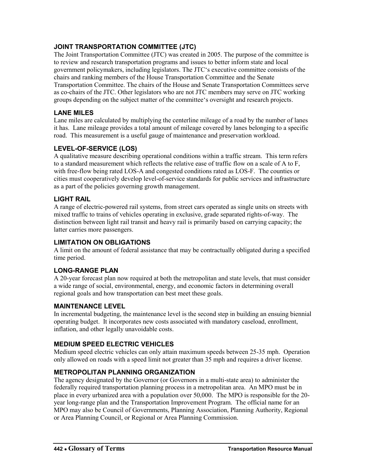# **JOINT TRANSPORTATION COMMITTEE (JTC)**

The Joint Transportation Committee (JTC) was created in 2005. The purpose of the committee is to review and research transportation programs and issues to better inform state and local government policymakers, including legislators. The JTC's executive committee consists of the chairs and ranking members of the House Transportation Committee and the Senate Transportation Committee. The chairs of the House and Senate Transportation Committees serve as co-chairs of the JTC. Other legislators who are not JTC members may serve on JTC working groups depending on the subject matter of the committee's oversight and research projects.

## **LANE MILES**

Lane miles are calculated by multiplying the centerline mileage of a road by the number of lanes it has. Lane mileage provides a total amount of mileage covered by lanes belonging to a specific road. This measurement is a useful gauge of maintenance and preservation workload.

## **LEVEL-OF-SERVICE (LOS)**

A qualitative measure describing operational conditions within a traffic stream. This term refers to a standard measurement which reflects the relative ease of traffic flow on a scale of A to F, with free-flow being rated LOS-A and congested conditions rated as LOS-F. The counties or cities must cooperatively develop level-of-service standards for public services and infrastructure as a part of the policies governing growth management.

## **LIGHT RAIL**

A range of electric-powered rail systems, from street cars operated as single units on streets with mixed traffic to trains of vehicles operating in exclusive, grade separated rights-of-way. The distinction between light rail transit and heavy rail is primarily based on carrying capacity; the latter carries more passengers.

# **LIMITATION ON OBLIGATIONS**

A limit on the amount of federal assistance that may be contractually obligated during a specified time period.

# **LONG-RANGE PLAN**

A 20-year forecast plan now required at both the metropolitan and state levels, that must consider a wide range of social, environmental, energy, and economic factors in determining overall regional goals and how transportation can best meet these goals.

#### **MAINTENANCE LEVEL**

In incremental budgeting, the maintenance level is the second step in building an ensuing biennial operating budget. It incorporates new costs associated with mandatory caseload, enrollment, inflation, and other legally unavoidable costs.

# **MEDIUM SPEED ELECTRIC VEHICLES**

Medium speed electric vehicles can only attain maximum speeds between 25-35 mph. Operation only allowed on roads with a speed limit not greater than 35 mph and requires a driver license.

# **METROPOLITAN PLANNING ORGANIZATION**

The agency designated by the Governor (or Governors in a multi-state area) to administer the federally required transportation planning process in a metropolitan area. An MPO must be in place in every urbanized area with a population over 50,000. The MPO is responsible for the 20 year long-range plan and the Transportation Improvement Program. The official name for an MPO may also be Council of Governments, Planning Association, Planning Authority, Regional or Area Planning Council, or Regional or Area Planning Commission.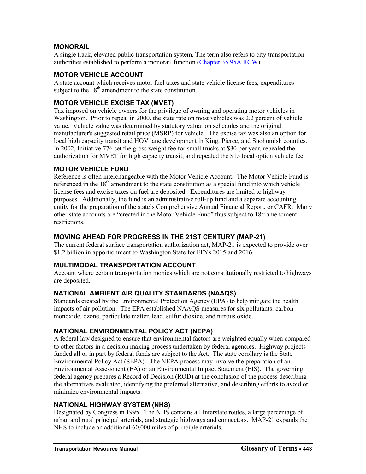## **MONORAIL**

A single track, elevated public transportation system. The term also refers to city transportation authorities established to perform a monorail function [\(Chapter 35.95A RCW\)](http://apps.leg.wa.gov/rcw/default.aspx?cite=35.95A).

#### **MOTOR VEHICLE ACCOUNT**

A state account which receives motor fuel taxes and state vehicle license fees; expenditures subject to the  $18<sup>th</sup>$  amendment to the state constitution.

## **MOTOR VEHICLE EXCISE TAX (MVET)**

Tax imposed on vehicle owners for the privilege of owning and operating motor vehicles in Washington. Prior to repeal in 2000, the state rate on most vehicles was 2.2 percent of vehicle value. Vehicle value was determined by statutory valuation schedules and the original manufacturer's suggested retail price (MSRP) for vehicle. The excise tax was also an option for local high capacity transit and HOV lane development in King, Pierce, and Snohomish counties. In 2002, Initiative 776 set the gross weight fee for small trucks at \$30 per year, repealed the authorization for MVET for high capacity transit, and repealed the \$15 local option vehicle fee.

## **MOTOR VEHICLE FUND**

Reference is often interchangeable with the Motor Vehicle Account. The Motor Vehicle Fund is referenced in the  $18<sup>th</sup>$  amendment to the state constitution as a special fund into which vehicle license fees and excise taxes on fuel are deposited. Expenditures are limited to highway purposes. Additionally, the fund is an administrative roll-up fund and a separate accounting entity for the preparation of the state's Comprehensive Annual Financial Report, or CAFR. Many other state accounts are "created in the Motor Vehicle Fund" thus subject to  $18<sup>th</sup>$  amendment restrictions.

## **MOVING AHEAD FOR PROGRESS IN THE 21ST CENTURY (MAP-21)**

The current federal surface transportation authorization act, MAP-21 is expected to provide over \$1.2 billion in apportionment to Washington State for FFYs 2015 and 2016.

# **MULTIMODAL TRANSPORTATION ACCOUNT**

Account where certain transportation monies which are not constitutionally restricted to highways are deposited.

#### **NATIONAL AMBIENT AIR QUALITY STANDARDS (NAAQS)**

Standards created by the Environmental Protection Agency (EPA) to help mitigate the health impacts of air pollution. The EPA established NAAQS measures for six pollutants: carbon monoxide, ozone, particulate matter, lead, sulfur dioxide, and nitrous oxide.

#### **NATIONAL ENVIRONMENTAL POLICY ACT (NEPA)**

A federal law designed to ensure that environmental factors are weighted equally when compared to other factors in a decision making process undertaken by federal agencies. Highway projects funded all or in part by federal funds are subject to the Act. The state corollary is the State Environmental Policy Act (SEPA). The NEPA process may involve the preparation of an Environmental Assessment (EA) or an Environmental Impact Statement (EIS). The governing federal agency prepares a Record of Decision (ROD) at the conclusion of the process describing the alternatives evaluated, identifying the preferred alternative, and describing efforts to avoid or minimize environmental impacts.

#### **NATIONAL HIGHWAY SYSTEM (NHS)**

Designated by Congress in 1995. The NHS contains all Interstate routes, a large percentage of urban and rural principal arterials, and strategic highways and connectors. MAP-21 expands the NHS to include an additional 60,000 miles of principle arterials.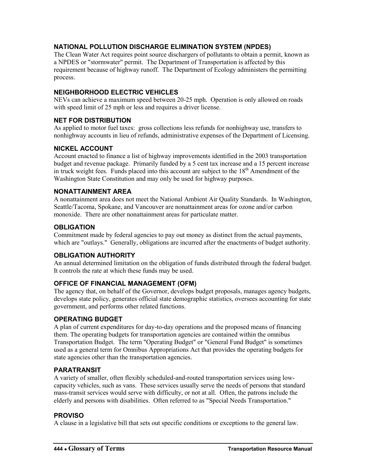# **NATIONAL POLLUTION DISCHARGE ELIMINATION SYSTEM (NPDES)**

The Clean Water Act requires point source dischargers of pollutants to obtain a permit, known as a NPDES or "stormwater" permit. The Department of Transportation is affected by this requirement because of highway runoff. The Department of Ecology administers the permitting process.

# **NEIGHBORHOOD ELECTRIC VEHICLES**

NEVs can achieve a maximum speed between 20-25 mph. Operation is only allowed on roads with speed limit of 25 mph or less and requires a driver license.

# **NET FOR DISTRIBUTION**

As applied to motor fuel taxes: gross collections less refunds for nonhighway use, transfers to nonhighway accounts in lieu of refunds, administrative expenses of the Department of Licensing.

## **NICKEL ACCOUNT**

Account enacted to finance a list of highway improvements identified in the 2003 transportation budget and revenue package. Primarily funded by a 5 cent tax increase and a 15 percent increase in truck weight fees. Funds placed into this account are subject to the  $18<sup>th</sup>$  Amendment of the Washington State Constitution and may only be used for highway purposes.

#### **NONATTAINMENT AREA**

A nonattainment area does not meet the National Ambient Air Quality Standards. In Washington, Seattle/Tacoma, Spokane, and Vancouver are nonattainment areas for ozone and/or carbon monoxide. There are other nonattainment areas for particulate matter.

#### **OBLIGATION**

Commitment made by federal agencies to pay out money as distinct from the actual payments, which are "outlays." Generally, obligations are incurred after the enactments of budget authority.

# **OBLIGATION AUTHORITY**

An annual determined limitation on the obligation of funds distributed through the federal budget. It controls the rate at which these funds may be used.

# **OFFICE OF FINANCIAL MANAGEMENT (OFM)**

The agency that, on behalf of the Governor, develops budget proposals, manages agency budgets, develops state policy, generates official state demographic statistics, oversees accounting for state government, and performs other related functions.

# **OPERATING BUDGET**

A plan of current expenditures for day-to-day operations and the proposed means of financing them. The operating budgets for transportation agencies are contained within the omnibus Transportation Budget. The term "Operating Budget" or "General Fund Budget" is sometimes used as a general term for Omnibus Appropriations Act that provides the operating budgets for state agencies other than the transportation agencies.

#### **PARATRANSIT**

A variety of smaller, often flexibly scheduled-and-routed transportation services using lowcapacity vehicles, such as vans. These services usually serve the needs of persons that standard mass-transit services would serve with difficulty, or not at all. Often, the patrons include the elderly and persons with disabilities. Often referred to as "Special Needs Transportation."

#### **PROVISO**

A clause in a legislative bill that sets out specific conditions or exceptions to the general law.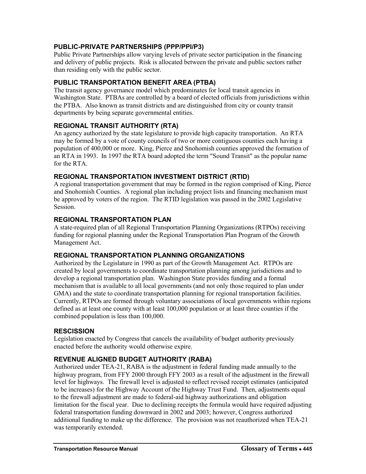# **PUBLIC-PRIVATE PARTNERSHIPS (PPP/PPI/P3)**

Public Private Partnerships allow varying levels of private sector participation in the financing and delivery of public projects. Risk is allocated between the private and public sectors rather than residing only with the public sector.

## **PUBLIC TRANSPORTATION BENEFIT AREA (PTBA)**

The transit agency governance model which predominates for local transit agencies in Washington State. PTBAs are controlled by a board of elected officials from jurisdictions within the PTBA. Also known as transit districts and are distinguished from city or county transit departments by being separate governmental entities.

# **REGIONAL TRANSIT AUTHORITY (RTA)**

An agency authorized by the state legislature to provide high capacity transportation. An RTA may be formed by a vote of county councils of two or more contiguous counties each having a population of 400,000 or more. King, Pierce and Snohomish counties approved the formation of an RTA in 1993. In 1997 the RTA board adopted the term "Sound Transit" as the popular name for the RTA.

## **REGIONAL TRANSPORTATION INVESTMENT DISTRICT (RTID)**

A regional transportation government that may be formed in the region comprised of King, Pierce and Snohomish Counties. A regional plan including project lists and financing mechanism must be approved by voters of the region. The RTID legislation was passed in the 2002 Legislative Session.

## **REGIONAL TRANSPORTATION PLAN**

A state-required plan of all Regional Transportation Planning Organizations (RTPOs) receiving funding for regional planning under the Regional Transportation Plan Program of the Growth Management Act.

# **REGIONAL TRANSPORTATION PLANNING ORGANIZATIONS**

Authorized by the Legislature in 1990 as part of the Growth Management Act. RTPOs are created by local governments to coordinate transportation planning among jurisdictions and to develop a regional transportation plan. Washington State provides funding and a formal mechanism that is available to all local governments (and not only those required to plan under GMA) and the state to coordinate transportation planning for regional transportation facilities. Currently, RTPOs are formed through voluntary associations of local governments within regions defined as at least one county with at least 100,000 population or at least three counties if the combined population is less than 100,000.

#### **RESCISSION**

Legislation enacted by Congress that cancels the availability of budget authority previously enacted before the authority would otherwise expire.

# **REVENUE ALIGNED BUDGET AUTHORITY (RABA)**

Authorized under TEA-21, RABA is the adjustment in federal funding made annually to the highway program, from FFY 2000 through FFY 2003 as a result of the adjustment in the firewall level for highways. The firewall level is adjusted to reflect revised receipt estimates (anticipated to be increases) for the Highway Account of the Highway Trust Fund. Then, adjustments equal to the firewall adjustment are made to federal-aid highway authorizations and obligation limitation for the fiscal year. Due to declining receipts the formula would have required adjusting federal transportation funding downward in 2002 and 2003; however, Congress authorized additional funding to make up the difference. The provision was not reauthorized when TEA-21 was temporarily extended.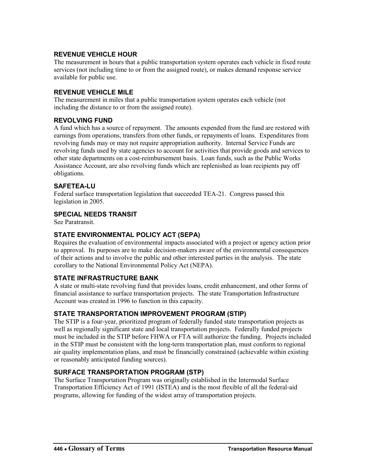## **REVENUE VEHICLE HOUR**

The measurement in hours that a public transportation system operates each vehicle in fixed route services (not including time to or from the assigned route), or makes demand response service available for public use.

## **REVENUE VEHICLE MILE**

The measurement in miles that a public transportation system operates each vehicle (not including the distance to or from the assigned route).

## **REVOLVING FUND**

A fund which has a source of repayment. The amounts expended from the fund are restored with earnings from operations, transfers from other funds, or repayments of loans. Expenditures from revolving funds may or may not require appropriation authority. Internal Service Funds are revolving funds used by state agencies to account for activities that provide goods and services to other state departments on a cost-reimbursement basis. Loan funds, such as the Public Works Assistance Account, are also revolving funds which are replenished as loan recipients pay off obligations.

## **SAFETEA-LU**

Federal surface transportation legislation that succeeded TEA-21. Congress passed this legislation in 2005.

#### **SPECIAL NEEDS TRANSIT**

See Paratransit.

#### **STATE ENVIRONMENTAL POLICY ACT (SEPA)**

Requires the evaluation of environmental impacts associated with a project or agency action prior to approval. Its purposes are to make decision-makers aware of the environmental consequences of their actions and to involve the public and other interested parties in the analysis. The state corollary to the National Environmental Policy Act (NEPA).

# **STATE INFRASTRUCTURE BANK**

A state or multi-state revolving fund that provides loans, credit enhancement, and other forms of financial assistance to surface transportation projects. The state Transportation Infrastructure Account was created in 1996 to function in this capacity.

# **STATE TRANSPORTATION IMPROVEMENT PROGRAM (STIP)**

The STIP is a four-year, prioritized program of federally funded state transportation projects as well as regionally significant state and local transportation projects. Federally funded projects must be included in the STIP before FHWA or FTA will authorize the funding. Projects included in the STIP must be consistent with the long-term transportation plan, must conform to regional air quality implementation plans, and must be financially constrained (achievable within existing or reasonably anticipated funding sources).

# **SURFACE TRANSPORTATION PROGRAM (STP)**

The Surface Transportation Program was originally established in the Intermodal Surface Transportation Efficiency Act of 1991 (ISTEA) and is the most flexible of all the federal-aid programs, allowing for funding of the widest array of transportation projects.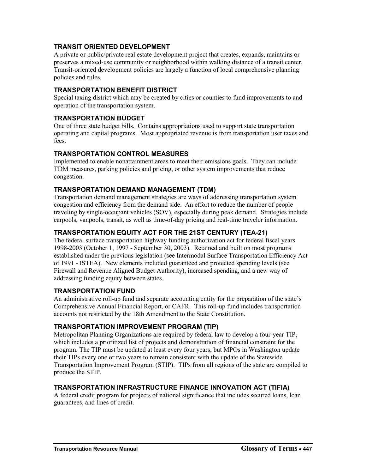# **TRANSIT ORIENTED DEVELOPMENT**

A private or public/private real estate development project that creates, expands, maintains or preserves a mixed-use community or neighborhood within walking distance of a transit center. Transit-oriented development policies are largely a function of local comprehensive planning policies and rules.

## **TRANSPORTATION BENEFIT DISTRICT**

Special taxing district which may be created by cities or counties to fund improvements to and operation of the transportation system.

#### **TRANSPORTATION BUDGET**

One of three state budget bills. Contains appropriations used to support state transportation operating and capital programs. Most appropriated revenue is from transportation user taxes and fees.

## **TRANSPORTATION CONTROL MEASURES**

Implemented to enable nonattainment areas to meet their emissions goals. They can include TDM measures, parking policies and pricing, or other system improvements that reduce congestion.

## **TRANSPORTATION DEMAND MANAGEMENT (TDM)**

Transportation demand management strategies are ways of addressing transportation system congestion and efficiency from the demand side. An effort to reduce the number of people traveling by single-occupant vehicles (SOV), especially during peak demand. Strategies include carpools, vanpools, transit, as well as time-of-day pricing and real-time traveler information.

# **TRANSPORTATION EQUITY ACT FOR THE 21ST CENTURY (TEA-21)**

The federal surface transportation highway funding authorization act for federal fiscal years 1998-2003 (October 1, 1997 - September 30, 2003). Retained and built on most programs established under the previous legislation (see Intermodal Surface Transportation Efficiency Act of 1991 - ISTEA). New elements included guaranteed and protected spending levels (see Firewall and Revenue Aligned Budget Authority), increased spending, and a new way of addressing funding equity between states.

# **TRANSPORTATION FUND**

An administrative roll-up fund and separate accounting entity for the preparation of the state's Comprehensive Annual Financial Report, or CAFR. This roll-up fund includes transportation accounts not restricted by the 18th Amendment to the State Constitution.

# **TRANSPORTATION IMPROVEMENT PROGRAM (TIP)**

Metropolitan Planning Organizations are required by federal law to develop a four-year TIP, which includes a prioritized list of projects and demonstration of financial constraint for the program. The TIP must be updated at least every four years, but MPOs in Washington update their TIPs every one or two years to remain consistent with the update of the Statewide Transportation Improvement Program (STIP). TIPs from all regions of the state are compiled to produce the STIP.

# **TRANSPORTATION INFRASTRUCTURE FINANCE INNOVATION ACT (TIFIA)**

A federal credit program for projects of national significance that includes secured loans, loan guarantees, and lines of credit.